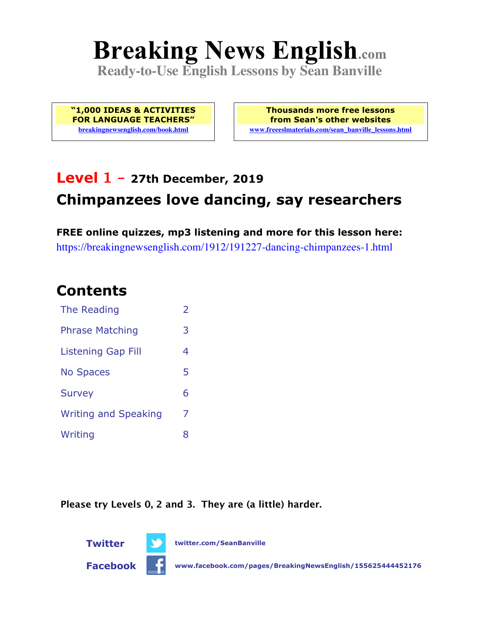# **Breaking News English.com**

**Ready-to-Use English Lessons by Sean Banville**

**"1,000 IDEAS & ACTIVITIES FOR LANGUAGE TEACHERS" breakingnewsenglish.com/book.html**

**Thousands more free lessons from Sean's other websites www.freeeslmaterials.com/sean\_banville\_lessons.html**

# **Level 1 - 27th December, 2019 Chimpanzees love dancing, say researchers**

**FREE online quizzes, mp3 listening and more for this lesson here:** https://breakingnewsenglish.com/1912/191227-dancing-chimpanzees-1.html

#### **Contents**

| The Reading                 | $\overline{\phantom{a}}$ |
|-----------------------------|--------------------------|
| <b>Phrase Matching</b>      | 3                        |
| Listening Gap Fill          | 4                        |
| <b>No Spaces</b>            | 5                        |
| <b>Survey</b>               | 6                        |
| <b>Writing and Speaking</b> | 7                        |
| Writing                     | 8                        |

**Please try Levels 0, 2 and 3. They are (a little) harder.**



**Twitter twitter.com/SeanBanville**

**Facebook www.facebook.com/pages/BreakingNewsEnglish/155625444452176**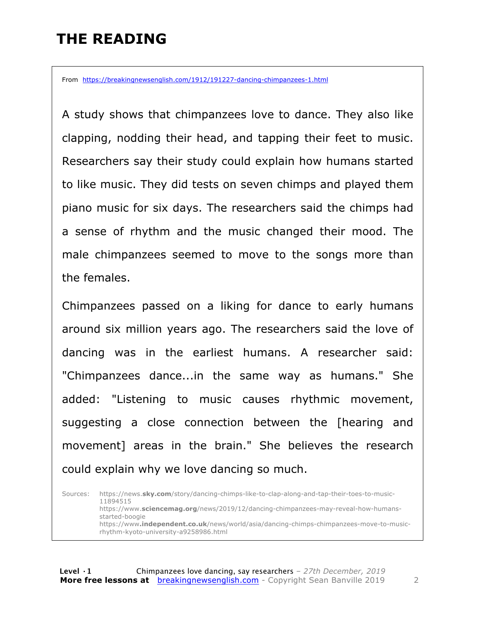## **THE READING**

From https://breakingnewsenglish.com/1912/191227-dancing-chimpanzees-1.html

A study shows that chimpanzees love to dance. They also like clapping, nodding their head, and tapping their feet to music. Researchers say their study could explain how humans started to like music. They did tests on seven chimps and played them piano music for six days. The researchers said the chimps had a sense of rhythm and the music changed their mood. The male chimpanzees seemed to move to the songs more than the females.

Chimpanzees passed on a liking for dance to early humans around six million years ago. The researchers said the love of dancing was in the earliest humans. A researcher said: "Chimpanzees dance...in the same way as humans." She added: "Listening to music causes rhythmic movement, suggesting a close connection between the [hearing and movement] areas in the brain." She believes the research could explain why we love dancing so much.

Sources: https://news.**sky.com**/story/dancing-chimps-like-to-clap-along-and-tap-their-toes-to-music-11894515 https://www.**sciencemag.org**/news/2019/12/dancing-chimpanzees-may-reveal-how-humansstarted-boogie https://www**.independent.co.uk**/news/world/asia/dancing-chimps-chimpanzees-move-to-musicrhythm-kyoto-university-a9258986.html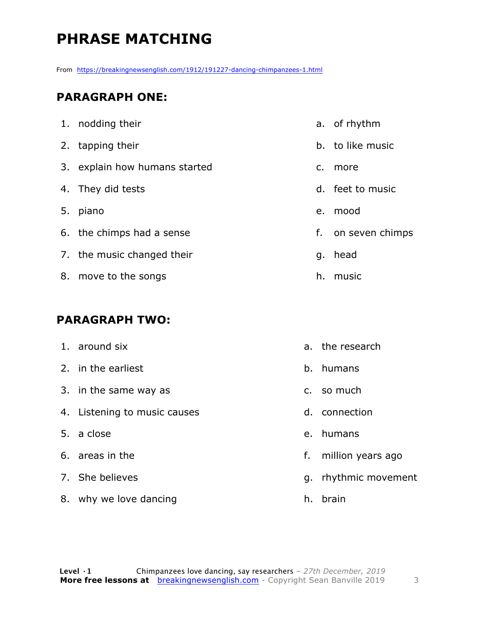# **PHRASE MATCHING**

From https://breakingnewsenglish.com/1912/191227-dancing-chimpanzees-1.html

#### **PARAGRAPH ONE:**

| 1. nodding their              |    | a. of rhythm       |
|-------------------------------|----|--------------------|
| 2. tapping their              |    | b. to like music   |
| 3. explain how humans started | c. | more               |
| 4. They did tests             |    | d. feet to music   |
| 5. piano                      | e. | mood               |
| 6. the chimps had a sense     |    | f. on seven chimps |
| 7. the music changed their    | q. | head               |
| 8. move to the songs          | h. | music              |

#### **PARAGRAPH TWO:**

| 1. around six                |         | a. the research      |
|------------------------------|---------|----------------------|
| 2. in the earliest           | $b_{1}$ | humans               |
| 3. in the same way as        |         | c. so much           |
| 4. Listening to music causes |         | d. connection        |
| 5. a close                   |         | e. humans            |
| 6. areas in the              | f.      | million years ago    |
| 7. She believes              |         | g. rhythmic movement |
| 8. why we love dancing       | h.      | brain                |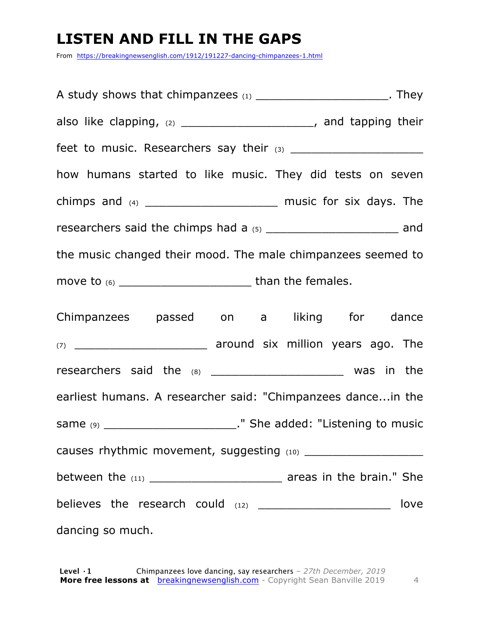#### **LISTEN AND FILL IN THE GAPS**

From https://breakingnewsenglish.com/1912/191227-dancing-chimpanzees-1.html

A study shows that chimpanzees (1) \_\_\_\_\_\_\_\_\_\_\_\_\_\_\_\_\_\_\_\_\_\_\_\_\_. They also like clapping, (2) and tapping their feet to music. Researchers say their (3) \_\_\_\_\_\_\_\_\_\_\_\_\_\_\_\_\_\_\_ how humans started to like music. They did tests on seven chimps and (4) \_\_\_\_\_\_\_\_\_\_\_\_\_\_\_\_\_\_\_ music for six days. The researchers said the chimps had a (5) \_\_\_\_\_\_\_\_\_\_\_\_\_\_\_\_\_\_\_\_\_\_\_\_\_\_ and the music changed their mood. The male chimpanzees seemed to move to (6) \_\_\_\_\_\_\_\_\_\_\_\_\_\_\_\_\_\_\_ than the females. Chimpanzees passed on a liking for dance (7) **Example 2 around six million years ago. The** researchers said the (8) \_\_\_\_\_\_\_\_\_\_\_\_\_\_\_\_\_\_\_\_\_\_\_\_ was in the earliest humans. A researcher said: "Chimpanzees dance...in the same (9) \_\_\_\_\_\_\_\_\_\_\_\_\_\_\_\_\_\_\_\_\_\_\_\_\_\_\_\_." She added: "Listening to music causes rhythmic movement, suggesting (10) \_\_\_\_\_\_\_\_\_\_\_\_\_\_\_\_\_ between the  $(11)$   $\qquad \qquad$  areas in the brain." She believes the research could (12) \_\_\_\_\_\_\_\_\_\_\_\_\_\_\_\_\_\_\_\_\_\_\_\_\_\_ love dancing so much.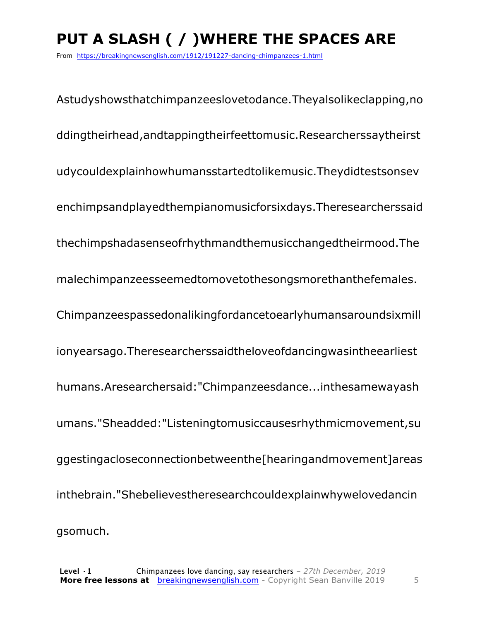# **PUT A SLASH ( / )WHERE THE SPACES ARE**

From https://breakingnewsenglish.com/1912/191227-dancing-chimpanzees-1.html

Astudyshowsthatchimpanzeeslovetodance.Theyalsolikeclapping,no ddingtheirhead,andtappingtheirfeettomusic.Researcherssaytheirst udycouldexplainhowhumansstartedtolikemusic.Theydidtestsonsev enchimpsandplayedthempianomusicforsixdays.Theresearcherssaid thechimpshadasenseofrhythmandthemusicchangedtheirmood.The malechimpanzeesseemedtomovetothesongsmorethanthefemales. Chimpanzeespassedonalikingfordancetoearlyhumansaroundsixmill ionyearsago.Theresearcherssaidtheloveofdancingwasintheearliest humans.Aresearchersaid:"Chimpanzeesdance...inthesamewayash umans."Sheadded:"Listeningtomusiccausesrhythmicmovement,su ggestingacloseconnectionbetweenthe[hearingandmovement]areas inthebrain."Shebelievestheresearchcouldexplainwhywelovedancin gsomuch.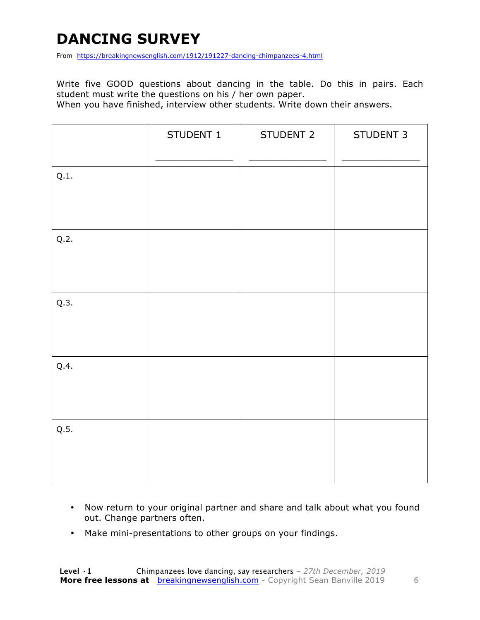## **DANCING SURVEY**

From https://breakingnewsenglish.com/1912/191227-dancing-chimpanzees-4.html

Write five GOOD questions about dancing in the table. Do this in pairs. Each student must write the questions on his / her own paper.

When you have finished, interview other students. Write down their answers.

|      | STUDENT 1 | STUDENT 2 | STUDENT 3 |
|------|-----------|-----------|-----------|
| Q.1. |           |           |           |
| Q.2. |           |           |           |
| Q.3. |           |           |           |
| Q.4. |           |           |           |
| Q.5. |           |           |           |

- Now return to your original partner and share and talk about what you found out. Change partners often.
- Make mini-presentations to other groups on your findings.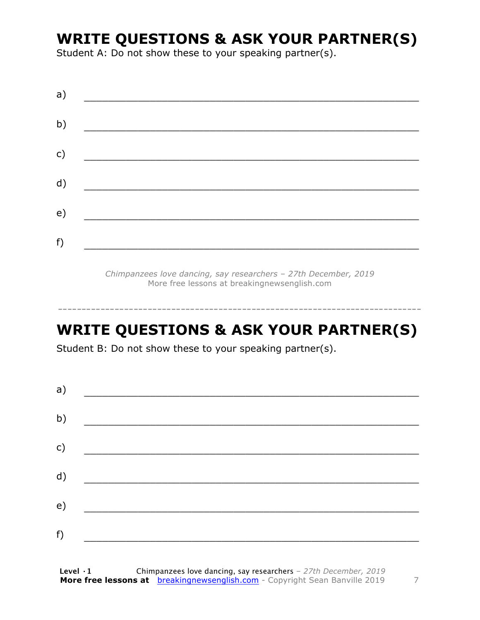#### **WRITE QUESTIONS & ASK YOUR PARTNER(S)**

Student A: Do not show these to your speaking partner(s).

| a) |  |  |
|----|--|--|
| b) |  |  |
| c) |  |  |
| d) |  |  |
| e) |  |  |
|    |  |  |
| f) |  |  |

*Chimpanzees love dancing, say researchers – 27th December, 2019* More free lessons at breakingnewsenglish.com

#### **WRITE QUESTIONS & ASK YOUR PARTNER(S)**

-----------------------------------------------------------------------------

Student B: Do not show these to your speaking partner(s).

| a) |  |  |
|----|--|--|
| b) |  |  |
| c) |  |  |
| d) |  |  |
| e) |  |  |
| f) |  |  |
|    |  |  |